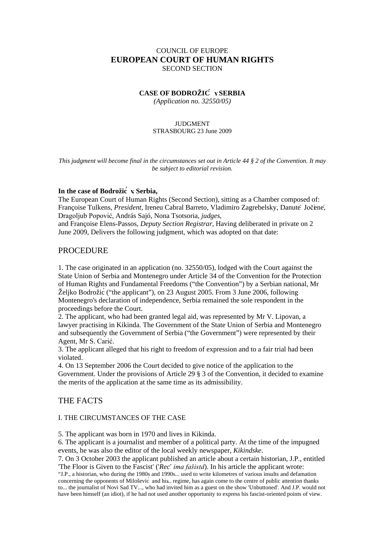# COUNCIL OF EUROPE **EUROPEAN COURT OF HUMAN RIGHTS** SECOND SECTION

# **CASE OF BODROŽIĆ v. SERBIA**

*(Application no. 32550/05)*

### JUDGMENT STRASBOURG 23 June 2009

*This judgment will become final in the circumstances set out in Article 44 § 2 of the Convention. It may be subject to editorial revision.*

### **In the case of Bodrožić v. Serbia,**

The European Court of Human Rights (Second Section), sitting as a Chamber composed of: Françoise Tulkens, *President,* Ireneu Cabral Barreto, Vladimiro Zagrebelsky, Danutė Jočienė, Dragoljub Popović, András Sajó, Nona Tsotsoria, *judges,*

and Françoise Elens-Passos, *Deputy Section Registrar*, Having deliberated in private on 2 June 2009, Delivers the following judgment, which was adopted on that date:

# PROCEDURE

1. The case originated in an application (no. 32550/05), lodged with the Court against the State Union of Serbia and Montenegro under Article 34 of the Convention for the Protection of Human Rights and Fundamental Freedoms ("the Convention") by a Serbian national, Mr Željko Bodrožić ("the applicant"), on 23 August 2005. From 3 June 2006, following Montenegro's declaration of independence, Serbia remained the sole respondent in the proceedings before the Court.

2. The applicant, who had been granted legal aid, was represented by Mr V. Lipovan, a lawyer practising in Kikinda. The Government of the State Union of Serbia and Montenegro and subsequently the Government of Serbia ("the Government") were represented by their Agent, Mr S. Carić.

3. The applicant alleged that his right to freedom of expression and to a fair trial had been violated.

4. On 13 September 2006 the Court decided to give notice of the application to the Government. Under the provisions of Article 29 § 3 of the Convention, it decided to examine the merits of the application at the same time as its admissibility.

# THE FACTS

# I. THE CIRCUMSTANCES OF THE CASE

5. The applicant was born in 1970 and lives in Kikinda.

6. The applicant is a journalist and member of a political party. At the time of the impugned events, he was also the editor of the local weekly newspaper, *Kikindske*.

7. On 3 October 2003 the applicant published an article about a certain historian, J.P., entitled 'The Floor is Given to the Fascist' ('*Reč ima fašista'*). In his article the applicant wrote:

"J.P., a historian, who during the 1980s and 1990s... used to write kilometres of various insults and defamation concerning the opponents of Milošević and his... regime, has again come to the centre of public attention thanks to... the journalist of Novi Sad TV..., who had invited him as a guest on the show 'Unbuttoned'. And J.P. would not have been himself (an idiot), if he had not used another opportunity to express his fascist-oriented points of view.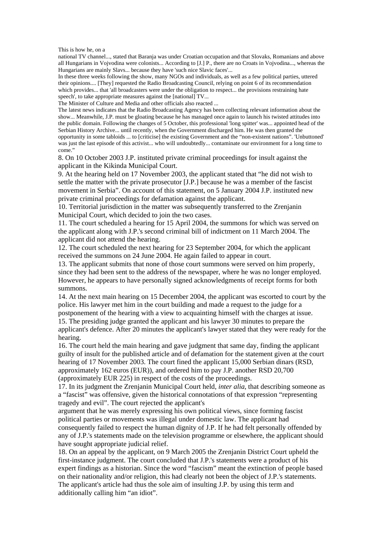This is how he, on a

national TV channel..., stated that Baranja was under Croatian occupation and that Slovaks, Romanians and above all Hungarians in Vojvodina were colonists... According to [J.] P., there are no Croats in Vojvodina..., whereas the Hungarians are mainly Slavs... because they have 'such nice Slavic faces'...

In these three weeks following the show, many NGOs and individuals, as well as a few political parties, uttered their opinions.... [They] requested the Radio Broadcasting Council, relying on point 6 of its recommendation which provides... that 'all broadcasters were under the obligation to respect... the provisions restraining hate speech', to take appropriate measures against the [national] TV...

The Minister of Culture and Media and other officials also reacted ...

The latest news indicates that the Radio Broadcasting Agency has been collecting relevant information about the show... Meanwhile, J.P. must be gloating because he has managed once again to launch his twisted attitudes into the public domain. Following the changes of 5 October, this professional 'long spitter' was... appointed head of the Serbian History Archive... until recently, when the Government discharged him. He was then granted the opportunity in some tabloids ... to [criticise] the existing Government and the "non-existent nations". 'Unbuttoned' was just the last episode of this activist... who will undoubtedly... contaminate our environment for a long time to come."

8. On 10 October 2003 J.P. instituted private criminal proceedings for insult against the applicant in the Kikinda Municipal Court.

9. At the hearing held on 17 November 2003, the applicant stated that "he did not wish to settle the matter with the private prosecutor [J.P.] because he was a member of the fascist movement in Serbia". On account of this statement, on 5 January 2004 J.P. instituted new private criminal proceedings for defamation against the applicant.

10. Territorial jurisdiction in the matter was subsequently transferred to the Zrenjanin Municipal Court, which decided to join the two cases.

11. The court scheduled a hearing for 15 April 2004, the summons for which was served on the applicant along with J.P.'s second criminal bill of indictment on 11 March 2004. The applicant did not attend the hearing.

12. The court scheduled the next hearing for 23 September 2004, for which the applicant received the summons on 24 June 2004. He again failed to appear in court.

13. The applicant submits that none of those court summons were served on him properly, since they had been sent to the address of the newspaper, where he was no longer employed. However, he appears to have personally signed acknowledgments of receipt forms for both summons.

14. At the next main hearing on 15 December 2004, the applicant was escorted to court by the police. His lawyer met him in the court building and made a request to the judge for a postponement of the hearing with a view to acquainting himself with the charges at issue.

15. The presiding judge granted the applicant and his lawyer 30 minutes to prepare the applicant's defence. After 20 minutes the applicant's lawyer stated that they were ready for the hearing.

16. The court held the main hearing and gave judgment that same day, finding the applicant guilty of insult for the published article and of defamation for the statement given at the court hearing of 17 November 2003. The court fined the applicant 15,000 Serbian dinars (RSD, approximately 162 euros (EUR)), and ordered him to pay J.P. another RSD 20,700 (approximately EUR 225) in respect of the costs of the proceedings.

17. In its judgment the Zrenjanin Municipal Court held, *inter alia*, that describing someone as a "fascist" was offensive, given the historical connotations of that expression "representing tragedy and evil". The court rejected the applicant's

argument that he was merely expressing his own political views, since forming fascist political parties or movements was illegal under domestic law. The applicant had consequently failed to respect the human dignity of J.P. If he had felt personally offended by any of J.P.'s statements made on the television programme or elsewhere, the applicant should have sought appropriate judicial relief.

18. On an appeal by the applicant, on 9 March 2005 the Zrenjanin District Court upheld the first-instance judgment. The court concluded that J.P.'s statements were a product of his expert findings as a historian. Since the word "fascism" meant the extinction of people based on their nationality and/or religion, this had clearly not been the object of J.P.'s statements. The applicant's article had thus the sole aim of insulting J.P. by using this term and additionally calling him "an idiot".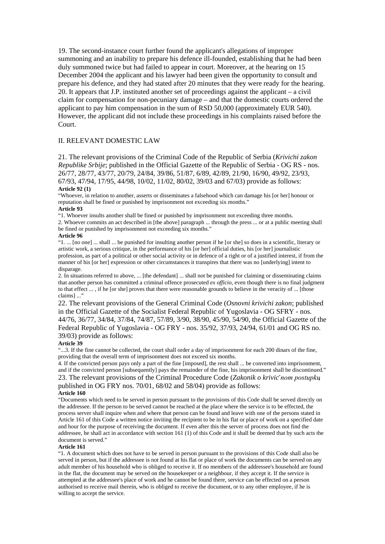19. The second-instance court further found the applicant's allegations of improper summoning and an inability to prepare his defence ill-founded, establishing that he had been duly summoned twice but had failed to appear in court. Moreover, at the hearing on 15 December 2004 the applicant and his lawyer had been given the opportunity to consult and prepare his defence, and they had stated after 20 minutes that they were ready for the hearing. 20. It appears that J.P. instituted another set of proceedings against the applicant – a civil claim for compensation for non-pecuniary damage – and that the domestic courts ordered the applicant to pay him compensation in the sum of RSD 50,000 (approximately EUR 540). However, the applicant did not include these proceedings in his complaints raised before the Court.

## II. RELEVANT DOMESTIC LAW

21. The relevant provisions of the Criminal Code of the Republic of Serbia (*Krivični zakon Republike Srbije*; published in the Official Gazette of the Republic of Serbia - OG RS - nos. 26/77, 28/77, 43/77, 20/79, 24/84, 39/86, 51/87, 6/89, 42/89, 21/90, 16/90, 49/92, 23/93, 67/93, 47/94, 17/95, 44/98, 10/02, 11/02, 80/02, 39/03 and 67/03) provide as follows: **Article 92 (1)**

"Whoever, in relation to another, asserts or disseminates a falsehood which can damage his [or her] honour or reputation shall be fined or punished by imprisonment not exceeding six months."

#### **Article 93**

"1. Whoever insults another shall be fined or punished by imprisonment not exceeding three months.

2. Whoever commits an act described in [the above] paragraph ... through the press ... or at a public meeting shall be fined or punished by imprisonment not exceeding six months."

#### **Article 96**

"1. ... [no one] ... shall ... be punished for insulting another person if he [or she] so does in a scientific, literary or artistic work, a serious critique, in the performance of his [or her] official duties, his [or her] journalistic profession, as part of a political or other social activity or in defence of a right or of a justified interest, if from the manner of his [or her] expression or other circumstances it transpires that there was no [underlying] intent to disparage.

2. In situations referred to above, ... [the defendant] ... shall not be punished for claiming or disseminating claims that another person has committed a criminal offence prosecuted *ex officio*, even though there is no final judgment to that effect ... , if he [or she] proves that there were reasonable grounds to believe in the veracity of ... [those claims] ..."

22. The relevant provisions of the General Criminal Code (*Osnovni krivični zakon*; published in the Official Gazette of the Socialist Federal Republic of Yugoslavia - OG SFRY - nos. 44/76, 36/77, 34/84, 37/84, 74/87, 57/89, 3/90, 38/90, 45/90, 54/90, the Official Gazette of the Federal Republic of Yugoslavia - OG FRY - nos. 35/92, 37/93, 24/94, 61/01 and OG RS no. 39/03) provide as follows:

#### **Article 39**

"...3. If the fine cannot be collected, the court shall order a day of imprisonment for each 200 dinars of the fine, providing that the overall term of imprisonment does not exceed six months.

4. If the convicted person pays only a part of the fine [imposed], the rest shall ... be converted into imprisonment, and if the convicted person [subsequently] pays the remainder of the fine, his imprisonment shall be discontinued." 23. The relevant provisions of the Criminal Procedure Code (*Zakonik o krivič nom postupku*, published in OG FRY nos. 70/01, 68/02 and 58/04) provide as follows:

#### **Article 160**

"Documents which need to be served in person pursuant to the provisions of this Code shall be served directly on the addressee. If the person to be served cannot be reached at the place where the service is to be effected, the process server shall inquire when and where that person can be found and leave with one of the persons stated in Article 161 of this Code a written notice inviting the recipient to be in his flat or place of work on a specified date and hour for the purpose of receiving the document. If even after this the server of process does not find the addressee, he shall act in accordance with section 161 (1) of this Code and it shall be deemed that by such acts the document is served."

### **Article 161**

"1. A document which does not have to be served in person pursuant to the provisions of this Code shall also be served in person, but if the addressee is not found at his flat or place of work the documents can be served on any adult member of his household who is obliged to receive it. If no members of the addressee's household are found in the flat, the document may be served on the housekeeper or a neighbour, if they accept it. If the service is attempted at the addressee's place of work and he cannot be found there, service can be effected on a person authorised to receive mail therein, who is obliged to receive the document, or to any other employee, if he is willing to accept the service.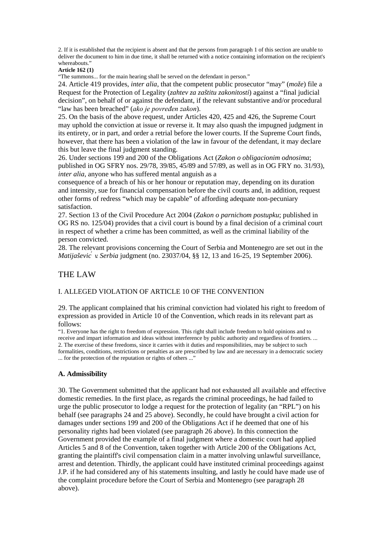2. If it is established that the recipient is absent and that the persons from paragraph 1 of this section are unable to deliver the document to him in due time, it shall be returned with a notice containing information on the recipient's whereabouts."

### **Article 162 (1)**

"The summons... for the main hearing shall be served on the defendant in person."

24. Article 419 provides, *inter alia*, that the competent public prosecutor "may" (*može*) file a Request for the Protection of Legality (*zahtev za zaštitu zakonitosti*) against a "final judicial decision", on behalf of or against the defendant, if the relevant substantive and/or procedural "law has been breached" (*ako je povređen zakon*).

25. On the basis of the above request, under Articles 420, 425 and 426, the Supreme Court may uphold the conviction at issue or reverse it. It may also quash the impugned judgment in its entirety, or in part, and order a retrial before the lower courts. If the Supreme Court finds, however, that there has been a violation of the law in favour of the defendant, it may declare this but leave the final judgment standing.

26. Under sections 199 and 200 of the Obligations Act (*Zakon o obligacionim odnosima*; published in OG SFRY nos. 29/78, 39/85, 45/89 and 57/89, as well as in OG FRY no. 31/93), *inter alia*, anyone who has suffered mental anguish as a

consequence of a breach of his or her honour or reputation may, depending on its duration and intensity, sue for financial compensation before the civil courts and, in addition, request other forms of redress "which may be capable" of affording adequate non-pecuniary satisfaction.

27. Section 13 of the Civil Procedure Act 2004 (*Zakon o parnicnom postupku ̌* ; published in OG RS no. 125/04) provides that a civil court is bound by a final decision of a criminal court in respect of whether a crime has been committed, as well as the criminal liability of the person convicted.

28. The relevant provisions concerning the Court of Serbia and Montenegro are set out in the *Matijaševic*<sup>*v*</sup> *vSerbia* judgment (no. 23037/04, §§ 12, 13 and 16-25, 19 September 2006).

# THE LAW

## I. ALLEGED VIOLATION OF ARTICLE 10 OF THE CONVENTION

29. The applicant complained that his criminal conviction had violated his right to freedom of expression as provided in Article 10 of the Convention, which reads in its relevant part as follows:

"1. Everyone has the right to freedom of expression. This right shall include freedom to hold opinions and to receive and impart information and ideas without interference by public authority and regardless of frontiers. ... 2. The exercise of these freedoms, since it carries with it duties and responsibilities, may be subject to such formalities, conditions, restrictions or penalties as are prescribed by law and are necessary in a democratic society ... for the protection of the reputation or rights of others ..."

### **A. Admissibility**

30. The Government submitted that the applicant had not exhausted all available and effective domestic remedies. In the first place, as regards the criminal proceedings, he had failed to urge the public prosecutor to lodge a request for the protection of legality (an "RPL") on his behalf (see paragraphs 24 and 25 above). Secondly, he could have brought a civil action for damages under sections 199 and 200 of the Obligations Act if he deemed that one of his personality rights had been violated (see paragraph 26 above). In this connection the Government provided the example of a final judgment where a domestic court had applied Articles 5 and 8 of the Convention, taken together with Article 200 of the Obligations Act, granting the plaintiff's civil compensation claim in a matter involving unlawful surveillance, arrest and detention. Thirdly, the applicant could have instituted criminal proceedings against J.P. if he had considered any of his statements insulting, and lastly he could have made use of the complaint procedure before the Court of Serbia and Montenegro (see paragraph 28 above).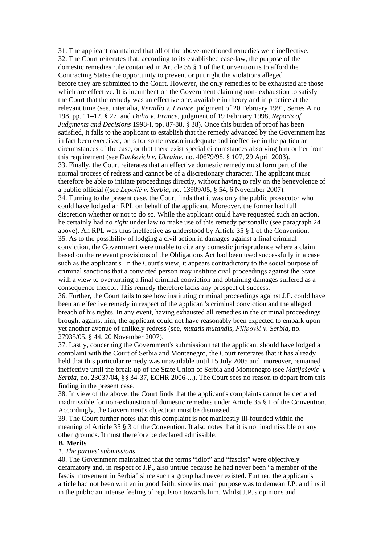31. The applicant maintained that all of the above-mentioned remedies were ineffective. 32. The Court reiterates that, according to its established case-law, the purpose of the domestic remedies rule contained in Article 35 § 1 of the Convention is to afford the Contracting States the opportunity to prevent or put right the violations alleged before they are submitted to the Court. However, the only remedies to be exhausted are those which are effective. It is incumbent on the Government claiming non- exhaustion to satisfy the Court that the remedy was an effective one, available in theory and in practice at the relevant time (see, inter alia, *Vernillo v. France*, judgment of 20 February 1991, Series A no. 198, pp. 11–12, § 27, and *Dalia v. France*, judgment of 19 February 1998, *Reports of Judgments and Decisions* 1998-I, pp. 87-88, § 38). Once this burden of proof has been satisfied, it falls to the applicant to establish that the remedy advanced by the Government has in fact been exercised, or is for some reason inadequate and ineffective in the particular circumstances of the case, or that there exist special circumstances absolving him or her from this requirement (see *Dankevich v. Ukraine*, no. 40679/98, § 107, 29 April 2003). 33. Finally, the Court reiterates that an effective domestic remedy must form part of the normal process of redress and cannot be of a discretionary character. The applicant must therefore be able to initiate proceedings directly, without having to rely on the benevolence of a public official ((see *Lepojić v. Serbia*, no. 13909/05, § 54, 6 November 2007). 34. Turning to the present case, the Court finds that it was only the public prosecutor who could have lodged an RPL on behalf of the applicant. Moreover, the former had full discretion whether or not to do so. While the applicant could have requested such an action, he certainly had no *right* under law to make use of this remedy personally (see paragraph 24 above). An RPL was thus ineffective as understood by Article 35 § 1 of the Convention. 35. As to the possibility of lodging a civil action in damages against a final criminal conviction, the Government were unable to cite any domestic jurisprudence where a claim based on the relevant provisions of the Obligations Act had been used successfully in a case such as the applicant's. In the Court's view, it appears contradictory to the social purpose of criminal sanctions that a convicted person may institute civil proceedings against the State with a view to overturning a final criminal conviction and obtaining damages suffered as a consequence thereof. This remedy therefore lacks any prospect of success.

36. Further, the Court fails to see how instituting criminal proceedings against J.P. could have been an effective remedy in respect of the applicant's criminal conviction and the alleged breach of his rights. In any event, having exhausted all remedies in the criminal proceedings brought against him, the applicant could not have reasonably been expected to embark upon yet another avenue of unlikely redress (see, *mutatis mutandis*, *Filipović v. Serbia*, no. 27935/05, § 44, 20 November 2007).

37. Lastly, concerning the Government's submission that the applicant should have lodged a complaint with the Court of Serbia and Montenegro, the Court reiterates that it has already held that this particular remedy was unavailable until 15 July 2005 and, moreover, remained ineffective until the break-up of the State Union of Serbia and Montenegro (see *Matijašević v. Serbia*, no. 23037/04, §§ 34-37, ECHR 2006-...). The Court sees no reason to depart from this finding in the present case.

38. In view of the above, the Court finds that the applicant's complaints cannot be declared inadmissible for non-exhaustion of domestic remedies under Article 35 § 1 of the Convention. Accordingly, the Government's objection must be dismissed.

39. The Court further notes that this complaint is not manifestly ill-founded within the meaning of Article 35 § 3 of the Convention. It also notes that it is not inadmissible on any other grounds. It must therefore be declared admissible.

# **B. Merits**

### *1. The parties' submissions*

40. The Government maintained that the terms "idiot" and "fascist" were objectively defamatory and, in respect of J.P., also untrue because he had never been "a member of the fascist movement in Serbia" since such a group had never existed. Further, the applicant's article had not been written in good faith, since its main purpose was to demean J.P. and instil in the public an intense feeling of repulsion towards him. Whilst J.P.'s opinions and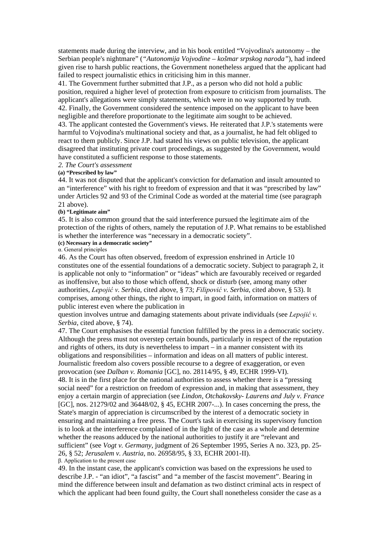statements made during the interview, and in his book entitled "Vojvodina's autonomy – the Serbian people's nightmare" (*"Autonomija Vojvodine – košmar srpskog naroda"*), had indeed given rise to harsh public reactions, the Government nonetheless argued that the applicant had failed to respect journalistic ethics in criticising him in this manner.

41. The Government further submitted that J.P., as a person who did not hold a public position, required a higher level of protection from exposure to criticism from journalists. The applicant's allegations were simply statements, which were in no way supported by truth. 42. Finally, the Government considered the sentence imposed on the applicant to have been negligible and therefore proportionate to the legitimate aim sought to be achieved.

43. The applicant contested the Government's views. He reiterated that J.P.'s statements were harmful to Vojvodina's multinational society and that, as a journalist, he had felt obliged to react to them publicly. Since J.P. had stated his views on public television, the applicant disagreed that instituting private court proceedings, as suggested by the Government, would have constituted a sufficient response to those statements.

### *2. The Court's assessment*

### **(a) "Prescribed by law"**

44. It was not disputed that the applicant's conviction for defamation and insult amounted to an "interference" with his right to freedom of expression and that it was "prescribed by law" under Articles 92 and 93 of the Criminal Code as worded at the material time (see paragraph 21 above).

### **(b) "Legitimate aim"**

45. It is also common ground that the said interference pursued the legitimate aim of the protection of the rights of others, namely the reputation of J.P. What remains to be established is whether the interference was "necessary in a democratic society".

# **(c) Necessary in a democratic society"**

α. General principles

46. As the Court has often observed, freedom of expression enshrined in Article 10 constitutes one of the essential foundations of a democratic society. Subject to paragraph 2, it is applicable not only to "information" or "ideas" which are favourably received or regarded as inoffensive, but also to those which offend, shock or disturb (see, among many other authorities, *Lepojić v. Serbia*, cited above, § 73; *Filipović v. Serbia*, cited above, § 53). It comprises, among other things, the right to impart, in good faith, information on matters of public interest even where the publication in

question involves untrue and damaging statements about private individuals (see *Lepojić v. Serbia*, cited above, § 74).

47. The Court emphasises the essential function fulfilled by the press in a democratic society. Although the press must not overstep certain bounds, particularly in respect of the reputation and rights of others, its duty is nevertheless to impart – in a manner consistent with its obligations and responsibilities – information and ideas on all matters of public interest. Journalistic freedom also covers possible recourse to a degree of exaggeration, or even provocation (see *Dalban v. Romania* [GC], no. 28114/95, § 49, ECHR 1999-VI).

48. It is in the first place for the national authorities to assess whether there is a "pressing social need" for a restriction on freedom of expression and, in making that assessment, they enjoy a certain margin of appreciation (see *Lindon, Otchakovsky- Laurens and July v. France*  [GC], nos. 21279/02 and 36448/02, § 45, ECHR 2007-...). In cases concerning the press, the State's margin of appreciation is circumscribed by the interest of a democratic society in ensuring and maintaining a free press. The Court's task in exercising its supervisory function is to look at the interference complained of in the light of the case as a whole and determine whether the reasons adduced by the national authorities to justify it are "relevant and sufficient" (see *Vogt v. Germany*, judgment of 26 September 1995, Series A no. 323, pp. 25- 26, § 52; *Jerusalem v. Austria*, no. 26958/95, § 33, ECHR 2001-II). β. Application to the present case

49. In the instant case, the applicant's conviction was based on the expressions he used to describe J.P. - "an idiot", "a fascist" and "a member of the fascist movement". Bearing in mind the difference between insult and defamation as two distinct criminal acts in respect of which the applicant had been found guilty, the Court shall nonetheless consider the case as a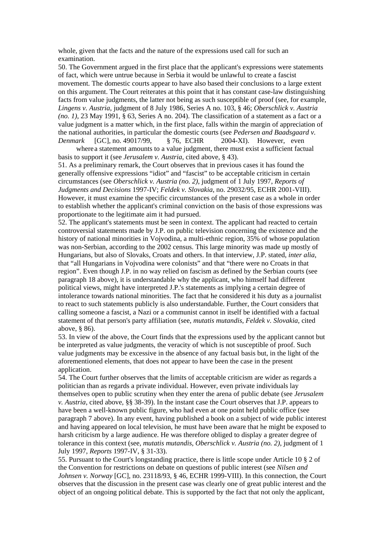whole, given that the facts and the nature of the expressions used call for such an examination.

50. The Government argued in the first place that the applicant's expressions were statements of fact, which were untrue because in Serbia it would be unlawful to create a fascist movement. The domestic courts appear to have also based their conclusions to a large extent on this argument. The Court reiterates at this point that it has constant case-law distinguishing facts from value judgments, the latter not being as such susceptible of proof (see, for example, *Lingens v. Austria*, judgment of 8 July 1986, Series A no. 103, § 46; *Oberschlick v. Austria (no. 1)*, 23 May 1991, § 63, Series A no. 204). The classification of a statement as a fact or a value judgment is a matter which, in the first place, falls within the margin of appreciation of the national authorities, in particular the domestic courts (see *Pedersen and Baadsgaard v. Denmark* [GC], no. 49017/99, § 76, ECHR 2004-XI). However, even

wherea statement amounts to a value judgment, there must exist a sufficient factual basis to support it (see *Jerusalem v. Austria*, cited above, § 43).

51. As a preliminary remark, the Court observes that in previous cases it has found the generally offensive expressions "idiot" and "fascist" to be acceptable criticism in certain circumstances (see *Oberschlick v. Austria (no. 2)*, judgment of 1 July 1997, *Reports of Judgments and Decisions* 1997-IV; *Feldek v. Slovakia*, no. 29032/95, ECHR 2001-VIII). However, it must examine the specific circumstances of the present case as a whole in order to establish whether the applicant's criminal conviction on the basis of those expressions was proportionate to the legitimate aim it had pursued.

52. The applicant's statements must be seen in context. The applicant had reacted to certain controversial statements made by J.P. on public television concerning the existence and the history of national minorities in Vojvodina, a multi-ethnic region, 35% of whose population was non-Serbian, according to the 2002 census. This large minority was made up mostly of Hungarians, but also of Slovaks, Croats and others. In that interview, J.P. stated, *inter alia*, that "all Hungarians in Vojvodina were colonists" and that "there were no Croats in that region". Even though J.P. in no way relied on fascism as defined by the Serbian courts (see paragraph 18 above), it is understandable why the applicant, who himself had different political views, might have interpreted J.P.'s statements as implying a certain degree of intolerance towards national minorities. The fact that he considered it his duty as a journalist to react to such statements publicly is also understandable. Further, the Court considers that calling someone a fascist, a Nazi or a communist cannot in itself be identified with a factual statement of that person's party affiliation (see, *mutatis mutandis*, *Feldek v. Slovakia*, cited above, § 86).

53. In view of the above, the Court finds that the expressions used by the applicant cannot but be interpreted as value judgments, the veracity of which is not susceptible of proof. Such value judgments may be excessive in the absence of any factual basis but, in the light of the aforementioned elements, that does not appear to have been the case in the present application.

54. The Court further observes that the limits of acceptable criticism are wider as regards a politician than as regards a private individual. However, even private individuals lay themselves open to public scrutiny when they enter the arena of public debate (see *Jerusalem v. Austria*, cited above, §§ 38-39). In the instant case the Court observes that J.P. appears to have been a well-known public figure, who had even at one point held public office (see paragraph 7 above). In any event, having published a book on a subject of wide public interest and having appeared on local television, he must have been aware that he might be exposed to harsh criticism by a large audience. He was therefore obliged to display a greater degree of tolerance in this context (see, *mutatis mutandis*, *Oberschlick v. Austria (no. 2)*, judgment of 1 July 1997, *Reports* 1997-IV, § 31-33).

55. Pursuant to the Court's longstanding practice, there is little scope under Article 10 § 2 of the Convention for restrictions on debate on questions of public interest (see *Nilsen and Johnsen v. Norway* [GC], no. 23118/93, § 46, ECHR 1999-VIII). In this connection, the Court observes that the discussion in the present case was clearly one of great public interest and the object of an ongoing political debate. This is supported by the fact that not only the applicant,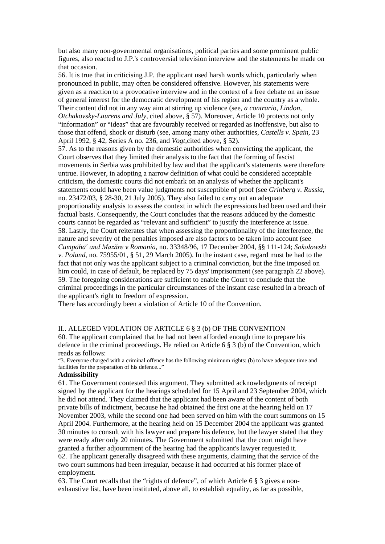but also many non-governmental organisations, political parties and some prominent public figures, also reacted to J.P.'s controversial television interview and the statements he made on that occasion.

56. It is true that in criticising J.P. the applicant used harsh words which, particularly when pronounced in public, may often be considered offensive. However, his statements were given as a reaction to a provocative interview and in the context of a free debate on an issue of general interest for the democratic development of his region and the country as a whole. Their content did not in any way aim at stirring up violence (see, *a contrario*, *Lindon, Otchakovsky-Laurens and July,* cited above, § 57). Moreover, Article 10 protects not only "information" or "ideas" that are favourably received or regarded as inoffensive, but also to those that offend, shock or disturb (see, among many other authorities, *Castells v. Spain*, 23 April 1992, § 42, Series A no. 236, and *Vogt,*cited above, § 52).

57. As to the reasons given by the domestic authorities when convicting the applicant, the Court observes that they limited their analysis to the fact that the forming of fascist movements in Serbia was prohibited by law and that the applicant's statements were therefore untrue. However, in adopting a narrow definition of what could be considered acceptable criticism, the domestic courts did not embark on an analysis of whether the applicant's statements could have been value judgments not susceptible of proof (see *Grinberg v. Russia*, no. 23472/03, § 28-30, 21 July 2005). They also failed to carry out an adequate proportionality analysis to assess the context in which the expressions had been used and their factual basis. Consequently, the Court concludes that the reasons adduced by the domestic courts cannot be regarded as "relevant and sufficient" to justify the interference at issue. 58. Lastly, the Court reiterates that when assessing the proportionality of the interference, the nature and severity of the penalties imposed are also factors to be taken into account (see *Cumpănă and Mazăre v. Romania*, no. 33348/96, 17 December 2004, §§ 111-124; *Sokołowski v. Poland*, no. 75955/01, § 51, 29 March 2005). In the instant case, regard must be had to the fact that not only was the applicant subject to a criminal conviction, but the fine imposed on him could, in case of default, be replaced by 75 days' imprisonment (see paragraph 22 above). 59. The foregoing considerations are sufficient to enable the Court to conclude that the criminal proceedings in the particular circumstances of the instant case resulted in a breach of the applicant's right to freedom of expression.

There has accordingly been a violation of Article 10 of the Convention.

### II.. ALLEGED VIOLATION OF ARTICLE 6 § 3 (b) OF THE CONVENTION

60. The applicant complained that he had not been afforded enough time to prepare his defence in the criminal proceedings. He relied on Article 6  $\S 3$  (b) of the Convention, which reads as follows:

"3. Everyone charged with a criminal offence has the following minimum rights: (b) to have adequate time and facilities for the preparation of his defence..."

### **Admissibility**

61. The Government contested this argument. They submitted acknowledgments of receipt signed by the applicant for the hearings scheduled for 15 April and 23 September 2004, which he did not attend. They claimed that the applicant had been aware of the content of both private bills of indictment, because he had obtained the first one at the hearing held on 17 November 2003, while the second one had been served on him with the court summons on 15 April 2004. Furthermore, at the hearing held on 15 December 2004 the applicant was granted 30 minutes to consult with his lawyer and prepare his defence, but the lawyer stated that they were ready after only 20 minutes. The Government submitted that the court might have granted a further adjournment of the hearing had the applicant's lawyer requested it. 62. The applicant generally disagreed with these arguments, claiming that the service of the two court summons had been irregular, because it had occurred at his former place of employment.

63. The Court recalls that the "rights of defence", of which Article 6 § 3 gives a nonexhaustive list, have been instituted, above all, to establish equality, as far as possible,